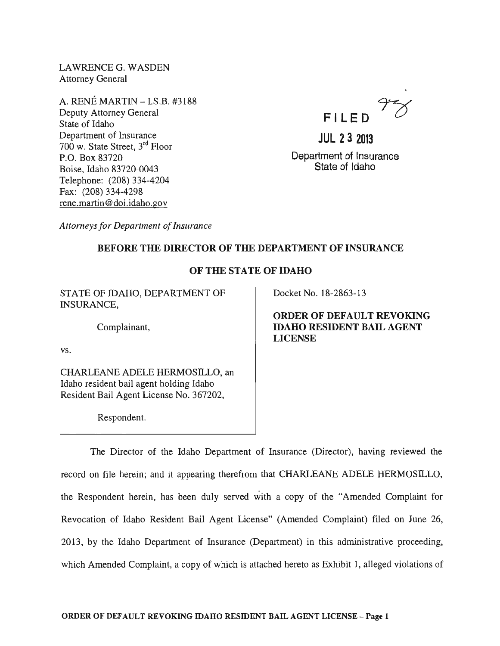LAWRENCE G. WASDEN Attorney General

A. RENE MARTIN - I.S.B. #3188 Deputy Attorney General State of Idaho Department of Insurance 700 w. State Street, 3rd Floor P.O. Box 83720 Boise, Idaho 83720-0043 Telephone: (208) 334-4204 Fax: (208) 334-4298 rene. martin @doi.idaho.gov



**JUL 23 2013**  Department of Insurance State of Idaho

*Attorneys for Department of Insurance* 

## BEFORE THE DIRECTOR OF THE DEPARTMENT OF INSURANCE

## OF THE STATE OF IDAHO

STATE OF IDAHO, DEPARTMENT OF INSURANCE,

Complainant,

vs.

CHARLEANE ADELE HERMOSILLO, an Idaho resident bail agent holding Idaho Resident Bail Agent License No. 367202,

Respondent.

Docket No. 18-2863-13

ORDER OF DEFAULT REVOKING IDAHO RESIDENT BAIL AGENT LICENSE

The Director of the Idaho Department of Insurance (Director), having reviewed the record on file herein; and it appearing therefrom that CHARLEANE ADELE HERMOSILLO, the Respondent herein, has been duly served with a copy of the "Amended Complaint for Revocation of Idaho Resident Bail Agent License" (Amended Complaint) filed on June 26, 2013, by the Idaho Department of Insurance (Department) in this administrative proceeding, which Amended Complaint, a copy of which is attached hereto as Exhibit 1, alleged violations of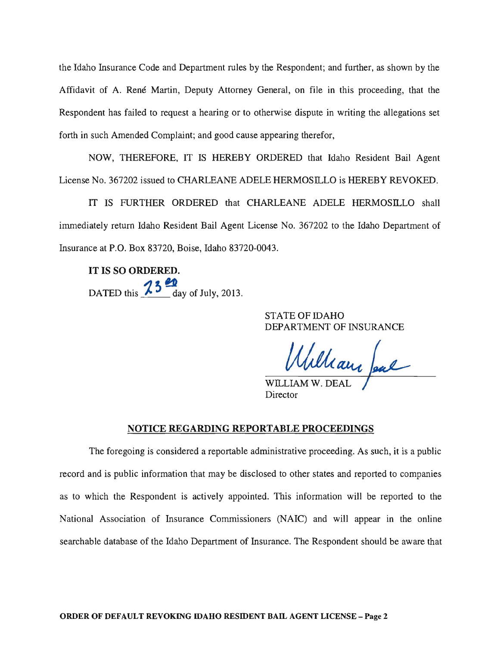the Idaho Insurance Code and Department rules by the Respondent; and further, as shown by the Affidavit of A. René Martin, Deputy Attorney General, on file in this proceeding, that the Respondent has failed to request a hearing or to otherwise dispute in writing the allegations set forth in such Amended Complaint; and good cause appearing therefor,

NOW, THEREFORE, IT IS HEREBY ORDERED that Idaho Resident Bail Agent License No. 367202 issued to CHARLEANE ADELE HERMOSILLO is HEREBY REVOKED.

IT IS FURTHER ORDERED that CHARLEANE ADELE HERMOSILLO shall immediately return Idaho Resident Bail Agent License No. 367202 to the Idaho Department of Insurance at P.O. Box 83720, Boise, Idaho 83720-0043.

**IT** IS SO ORDERED. DATED this  $\frac{13}{\text{ day of July, 2013}}$ .

> STATE OF IDAHO DEPARTMENT OF INSURANCE

William Jeal

Director

## NOTICE REGARDING REPORTABLE PROCEEDINGS

The foregoing is considered a reportable administrative proceeding. As such, it is a public record and is public information that may be disclosed to other states and reported to companies as to which the Respondent is actively appointed. This information will be reported to the National Association of Insurance Commissioners (NAIC) and will appear in the online searchable database of the Idaho Department of Insurance. The Respondent should be aware that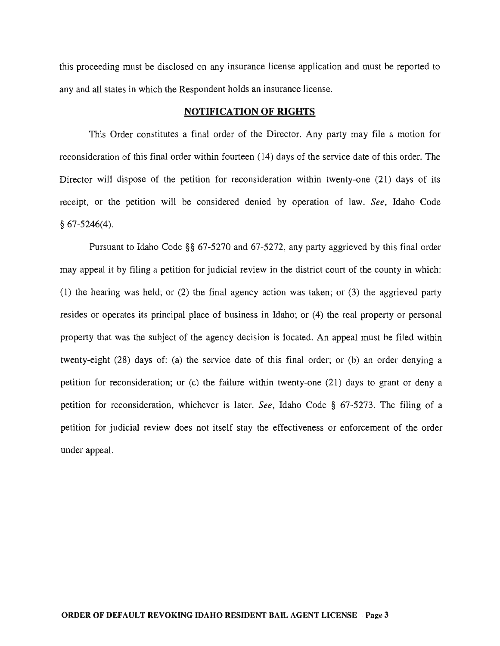this proceeding must be disclosed on any insurance license application and must be reported to any and all states in which the Respondent holds an insurance license.

### NOTIFICATION OF RIGHTS

This Order constitutes a final order of the Director. Any party may file a motion for reconsideration of this final order within fourteen (14) days of the service date of this order. The Director will dispose of the petition for reconsideration within twenty-one (21) days of its receipt, or the petition will be considered denied by operation of law. *See,* Idaho Code § 67-5246(4).

Pursuant to Idaho Code §§ 67-5270 and 67-5272, any party aggrieved by this final order may appeal it by filing a petition for judicial review in the district court of the county in which: (1) the hearing was held; or (2) the final agency action was taken; or (3) the aggrieved party resides or operates its principal place of business in Idaho; or (4) the real property or personal property that was the subject of the agency decision is located. An appeal must be filed within twenty-eight (28) days of: (a) the service date of this final order; or (b) an order denying a petition for reconsideration; or (c) the failure within twenty-one (21) days to grant or deny a petition for reconsideration, whichever is later. *See,* Idaho Code § 67-5273. The filing of a petition for judicial review does not itself stay the effectiveness or enforcement of the order under appeal.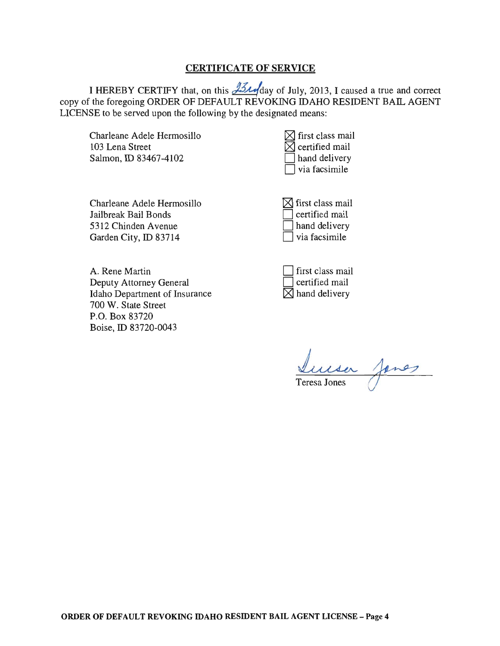## CERTIFICATE OF SERVICE

I HEREBY CERTIFY that, on this  $\frac{1}{2}$  day of July, 2013, I caused a true and correct copy of the foregoing ORDER OF DEFAULT REVOKING IDAHO RESIDENT BAIL AGENT LICENSE to be served upon the following by the designated means:

Charleane Adele Hermosillo 103 Lena Street Salmon, ID 83467-4102

| $\boxtimes$ first class mail |
|------------------------------|
| $\boxtimes$ certified mail   |
| $\Box$ hand delivery         |
| via facsimile                |

Charleane Adele Hermosillo Jailbreak Bail Bonds 5312 Chinden Avenue Garden City, ID 83714

 $\boxtimes$  first class mail D certified mail hand delivery via facsimile

A. Rene Martin Deputy Attorney General Idaho Department of Insurance 700 W. State Street P.O. Box 83720 Boise, ID 83720-0043

| $\Box$ first class mail   |
|---------------------------|
| $\Box$ certified mail     |
| $\boxtimes$ hand delivery |

Luisa Janes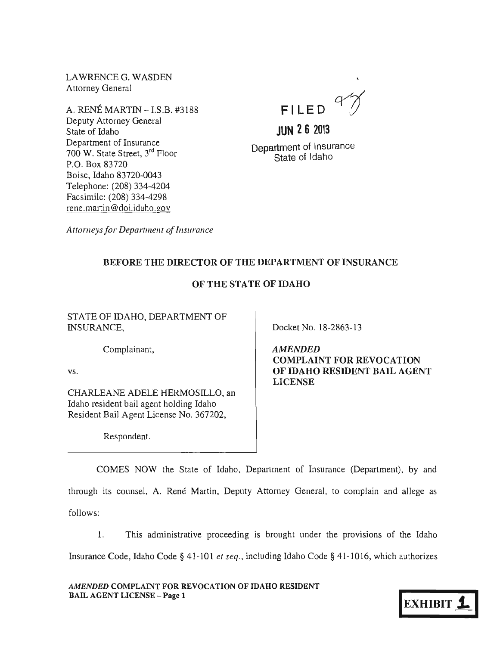LAWRENCE G. WASDEN Attorney General

A. RENE MARTIN - I.S.B. #3188 Deputy Attorney General State of Idaho Department of Insurance 700 W. State Street, 3rd Floor P.O. Box 83720 Boise, Idaho 83720-0043 Telephone: (208) 334-4204 Facsimile: (208) 334-4298 rene.martin@doi.idaho.gov

**FI LE 0** 

**JUN 26 2013** 

Department of Insurance State of Idaho

*Attorneys for Department of Insurance* 

# BEFORE THE DIRECTOR OF THE DEPARTMENT OF INSURANCE

# OF THE STATE OF IDAHO

STATE OF IDAHO, DEPARTMENT OF INSURANCE,

Complainant,

vs.

CHARLEANE ADELE HERMOSILLO, an Idaho resident bail agent holding Idaho Resident Bail Agent License No. 367202,

Respondent.

Docket No. 18-2863-13

AMENDED COMPLAINT FOR REVOCATION OF IDAHO RESIDENT BAIL AGENT LICENSE

COMES NOW the State of Idaho, Deparlment of Insurance (Department), by and through its counsel, A. René Martin, Deputy Attorney General, to complain and allege as follows:

1. This administrative proceeding is brought under the provisions of the Idaho Insurance Code, Idaho Code § 41-101 *et seq.,* including Idaho Code § 41-1016, which authorizes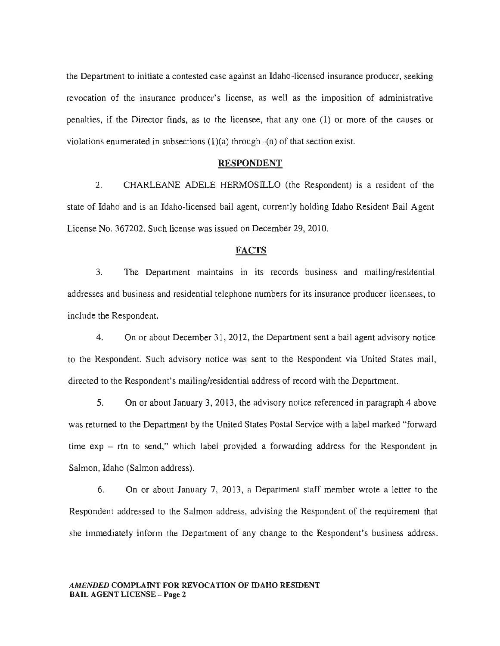the Department to initiate a contested case against an Idaho-licensed insurance producer, seeking revocation of the insurance producer's license, as well as the imposition of administrative penalties, if the Director finds, as to the licensee, that any one (1) or more of the causes or violations enumerated in subsections  $(1)(a)$  through  $-(n)$  of that section exist.

#### RESPONDENT

2. CHARLEANE ADELE HERMOSILLO (the Respondent) is a resident of the state of Idaho and is an Idaho-licensed bail agent, currently holding Idaho Resident Bail Agent License No. 367202. Such license was issued on December 29,2010.

## **FACTS**

3. The Department maintains in its records business and mailing/residential addresses and business and residential telephone numbers for its insurance producer licensees, to include the Respondent.

4. On or about December 31, 2012, the Department sent a bail agent advisory notice to the Respondent. Such advisory notice was sent to the Respondent via United States mail, directed to the Respondent's mailing/residential address of record with the Department.

5. On or about January 3, 2013, the advisory notice referenced in paragraph 4 above was returned to the Department by the United States Postal Service with a label marked "forward time  $exp - trn$  to send," which label provided a forwarding address for the Respondent in Salmon, Idaho (Salmon address).

6. On or about January 7, 2013, a Department staff member wrote a letter to the Respondent addressed to the Salmon address, advising the Respondent of the requirement that she immediately inform the Department of any change to the Respondent's business address.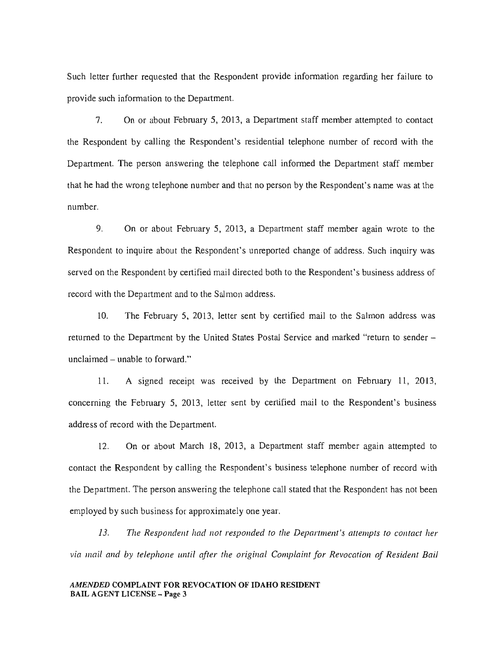Such letter further requested that the Respondent provide information regarding her failure to provide such information to the Department.

7. On or about February 5, 2013, a Department staff member attempted to contact the Respondent by calling the Respondent's residential telephone number of record with the Department. The person answering the telephone call informed the Department staff member that he had the wrong telephone number and that no person by the Respondent's name was at the number.

9. On or about February 5, 2013, a Department staff member again wrote to the Respondent to inquire about the Respondent's unreported change of address. Such inquiry was served on the Respondent by certified mail directed both to the Respondent's business address of record with the Department and to the Salmon address.

10. The February 5, 2013, letter sent by certified mail to the Salmon address was returned to the Department by the United States Postal Service and marked "return to sender – unclaimed  $-$  unable to forward."

1l. A signed receipt was received by the Department on Febmary 11, 2013, concerning the February 5, 2013, letter sent by certified mail to the Respondent's business address of record with the Department.

12. On or about March 18, 2013, a Department staff member again attempted to contact the Respondent by calling the Respondent's business telephone number of record with the Department. The person answering the telephone call stated that the Respondent has not been employed by such business for approximately one year.

13. The Respondent had not responded to the Department's attempts to contact her via mail and by telephone until after the original Complaint for Revocation of Resident Bail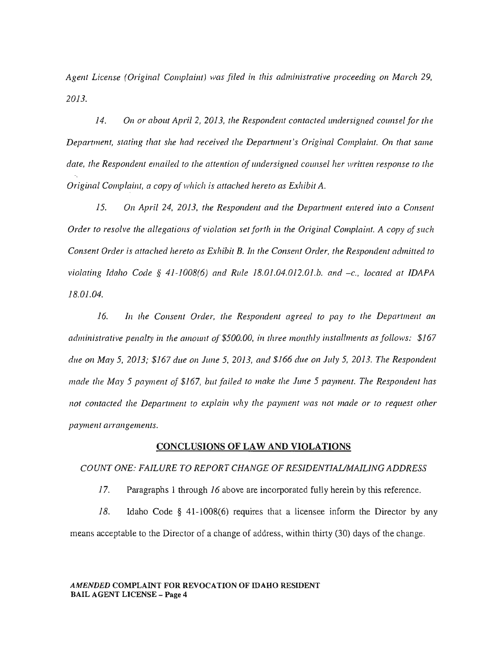*Agent License (Original Complaint) was filed in this administrative proceeding on March 29, 2013.* 

14. On or about April 2, 2013, the Respondent contacted undersigned counsel for the *Department, stating that she had received the Department's Original Complaint. On that same date, the Respondent emailed to the attention of undersigned counsel her written response to the Original Complaint, a copy of which is attached hereto as Exhibit A.* 

15. On April 24, 2013, the Respondent and the Department entered into a Consent *Order to resolve the allegations of violation set forth in the Original Complaint. A copy of such Consent Order* is *attached hereto as Exhibit B. In the Consent Order, the Respondent admitted to violating Idaho Code* § *41-1008(6) and Rule 18.01.04.012.01.b. and -c., located at IDAPA 18.01.04.* 

*16. In the Consent Order, the Respondent agreed to pay to the Department an administrative penalty in the amount of \$500.00, in three monthly installments as follows: \$167 due on May* 5, *2013;* \$167 *due on June* 5, *2013, and* \$166 *due Oil July* 5, *2013. The Respondent made the May* 5 *payment of* \$167, *but failed to make the June* 5 *payment. The Respondent has not contacted the Department to explain why the payment was not made or to request other payment arrangements.* 

## CONCLUSIONS OF LAW AND VIOLATIONS

## *COUNT ONE: FAILURE TO REPORT CHANGE OF RESIDENT/AliMA/LING ADDRESS*

17. Paragraphs 1 through 16 above are incorporated fully herein by this reference.

18. Idaho Code § 41-1008(6) requires that a licensee inform the Director by any means acceptable to the Director of a change of address, within thirty (30) days of the change.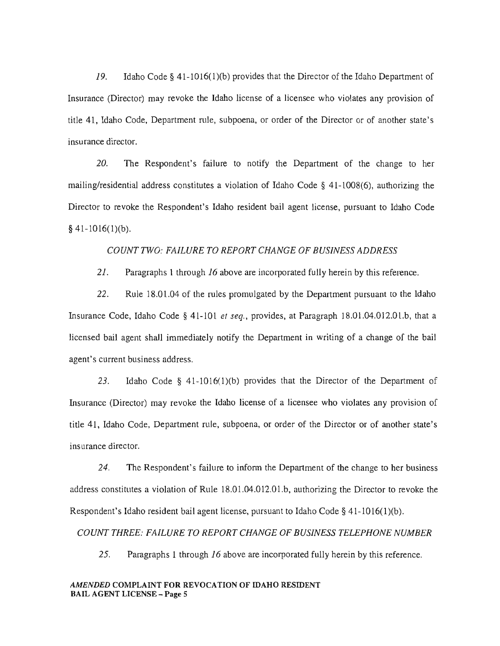19. Idaho Code § 41-1016(1)(b) provides that the Director of the Idaho Department of Insurance (Director) may revoke the Idaho license of a licensee who violates any provision of title 41, Idaho Code, Department rule, subpoena, or order of the Director or of another state's insurance director.

20. The Respondent's failure to notify the Department of the change to her mailing/residential address constitutes a violation of Idaho Code § 41-1008(6), authorizing the Director to revoke the Respondent's Idaho resident bail agent license, pursuant to Idaho Code  $§$  41-1016(1)(b).

## *COUNT TWO: FAILURE TO REPORT CHANGE* OF *BUSINESS ADDRESS*

21. Paragraphs 1 through 16 above are incorporated fully herein by this reference.

22. Rule 18.01.04 of the rules promulgated by the Department pursuant to the Idaho Insurance Code, Idaho Code § 41-101 *et seq.,* provides, at Paragraph 18.01.04.012.01.b, that a licensed bail agent shall immediately notify the Department in writing of a change of the bail agent's current business address.

23. Idaho Code § 41-1016(1)(b) provides that the Director of the Department of Insurance (Director) may revoke the Idaho license of a licensee who violates any provision of title 41, Idaho Code, Department rule, subpoena, or order of the Director or of another state's insurance director.

24. The Respondent's failure to inform the Department of the change to her business address constitutes a violation of Rule 18.01.04.012.01.b, authorizing the Director to revoke the Respondent's Idaho resident bail agent license, pursuant to Idaho Code  $\S$  41-1016(1)(b).

*COUNT THREE: FAILURE TO REPORT CHANGE OF BUSINESS TELEPHONE NUMBER* 

25. Paragraphs 1 through 16 above are incorporated fully herein by this reference.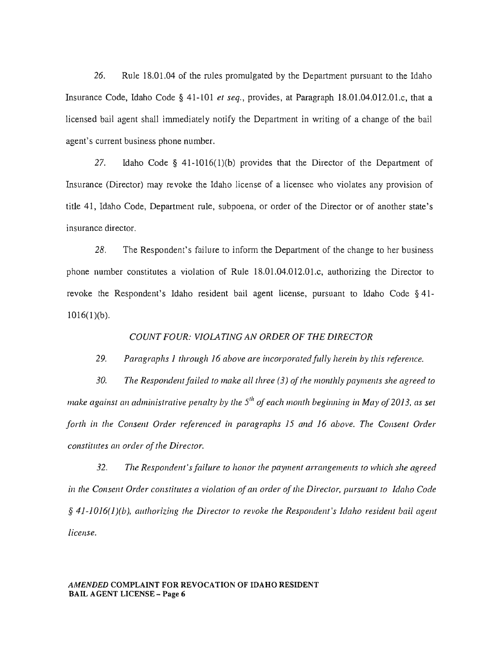26. Rule 18.01.04 of the mles promulgated by the Department pursuant to the Idaho Insurance Code, Idaho Code § 41-101 *et seq.,* provides, at Paragraph 18.01.04.012.01.c, that a licensed bail agent shall immediately notify the Department in writing of a change of the bail agent's current business phone number.

27. Idaho Code § 41-1016(1)(b) provides that the Director of the Department of Insurance (Director) may revoke the Idaho license of a licensee who violates any provision of title 41, Idaho Code, Department rule, subpoena, or order of the Director or of another state's insurance director.

28. The Respondent's failure to inform the Department of the change to her business phone number constitutes a violation of Rule 18.01.04.012.01.c, authorizing the Director to revoke the Respondent's Idaho resident bail agent license, pursuant to Idaho Code § 41-  $1016(1)(b)$ .

#### *COUNT FOUR: VIOLATING AN ORDER OF THE DIRECTOR*

## *29. Paragraphs* 1 *through* 16 *above are incorporated/lilly herein by this reference.*

*30. The Respondentfailed to make all three* (3) *of the monthly payments she agreed to make against an administrative penalty by the 5<sup>th</sup> of each month beginning in May of 2013, as set forth in the Consent Order referenced in paragraphs* 15 *and* 16 *above. The Consent Order constitutes an order of the Director.* 

*32. The Respondent'sfailure to honor the payment arrangements to which she agreed in the Consent Order constitutes a violation of an order of the Director, pursuant to Idaho Code*  § *41-1016(1)(b), authorizing the Director to revoke the Respondent's Idaho resident bail agent license.*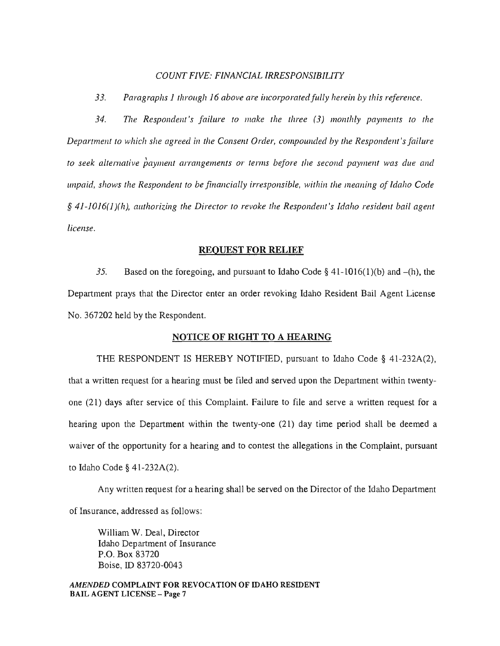#### *COUNT FIVE: FINANCIAL IRRESPONSIBILITY*

33. Paragraphs 1 *through 16 above are incorporated fully herein by this reference.* 

*34. The Responde1lt's failure to make the three* (3) *mOll1hly payments to the Department to which she agreed in the Consent Order, compounded by the Respondent's failure to seek alternative payment arrangements or terms before the second payment was due and unpaid, shows the Respondent to be financially irresponsible, within the meaning of Idaho Code* § 41-1016(1)(h), authorizing the Director to revoke the Respondent's Idaho resident bail agent *license.* 

#### REQUEST FOR RELIEF

35. Based on the foregoing, and pursuant to Idaho Code  $\S$  41-1016(1)(b) and -(h), the Department prays that the Director enter an order revoking Idaho Resident Bail Agent License No. 367202 held by the Respondent.

#### NOTICE OF RIGHT TO A HEARING

THE RESPONDENT IS HEREBY NOTIFIED, pursuant to Idaho Code § 41-232A(2), that a written request for a hearing must be filed and served upon the Department within twentyone (21) days after service of this Complaint. Failure to file and serve a written request for a hearing upon the Department within the twenty-one (21) day time period shall be deemed a waiver of the opportunity for a hearing and to contest the allegations in the Complaint, pursuant to Idaho Code § 41-232A(2).

Any written request for a hearing shall be served on the Director of the Idaho Department of Insurance, addressed as follows:

William W. Deal, Director Idaho Department of Insurance P.O. Box 83720 Boise, ID 83720-0043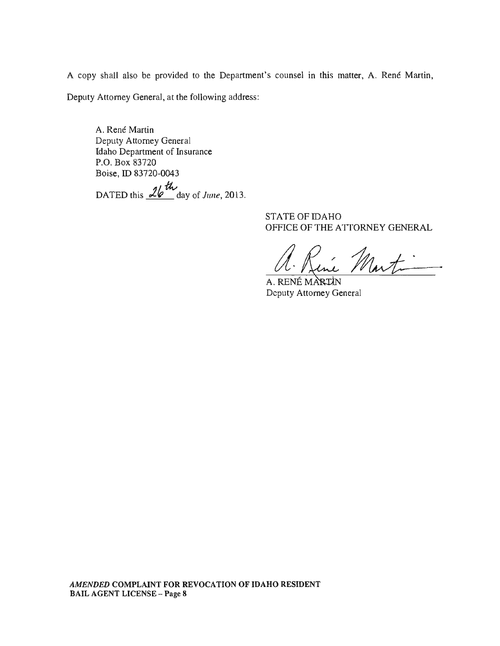A copy shall also be provided to the Department's counsel in this matter, A. René Martin,

Deputy Attorney General, at the following address:

A. René Martin Deputy Attorney General Idaho Department of Insurance P.O. Box 83720 Boise, ID 83720-0043 DATED this  $\frac{2b}{\sqrt{m}}$  day of *June*, 2013.

> STATE OF IDAHO OFFICE OF THE ATTORNEY GENERAL

Rine Martin

A. RENÉ MARIN Deputy Attorney General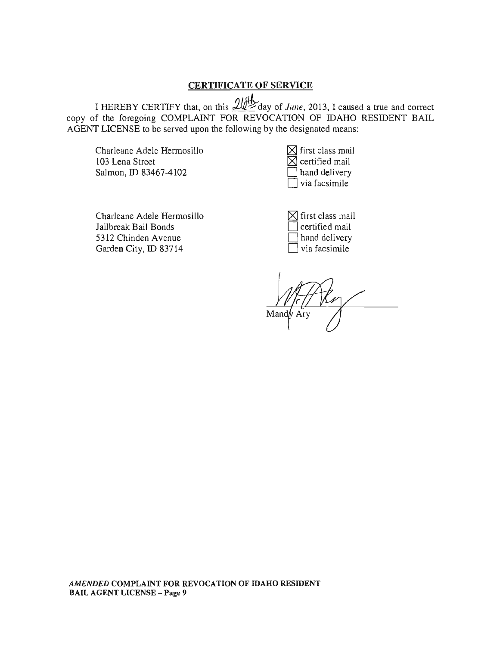## CERTIFICATE OF SERVICE

I HEREBY CERTIFY that, on this 1~day of *June,* 2013, I caused a true and correct copy of the foregoing COMPLAINT FOR REVOCATION OF IDAHO RESIDENT BAIL AGENT LICENSE to be served upon the following by the designated means:

Charleane Adele Hermosillo 103 Lena Street Salmon, ID 83467-4102

| $\boxtimes$ first class mail |
|------------------------------|
| $\boxtimes$ certified mail   |
| hand delivery                |
| via facsimile                |

Charleane Adele Hermosillo Jailbreak Bail Bonds 5312 Chinden Avenue Garden City, ID 83714

 $\boxtimes$  first class mail certified mail hand delivery via facsimile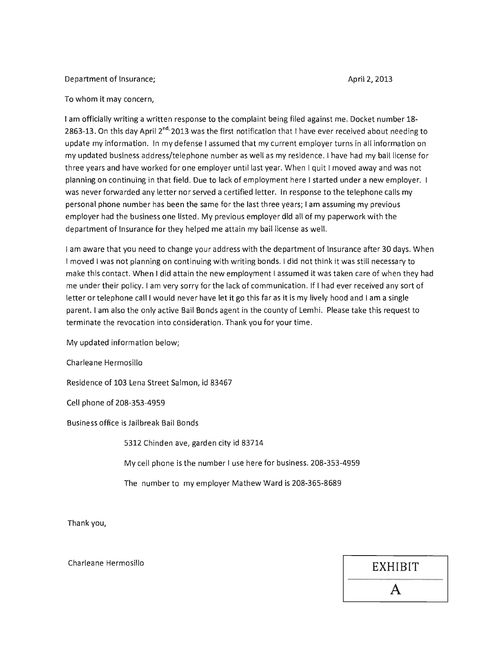#### Department of Insurance; and the Communication of Insurance; and the Communication of April 2, 2013

#### To whom it may concern,

I am officially writing a written response to the complaint being filed against me. Docket number 18- 2863-13. On this day April 2<sup>nd,</sup> 2013 was the first notification that I have ever received about needing to update my information. In my defense I assumed that my current employer turns in all information on my updated business address/telephone number as well as my residence. I have had my bail license for three years and have worked for one employer until last year. When I quit I moved away and was not planning on continuing in that field. Due to lack of employment here I started under a new employer. I was never forwarded any letter nor served a certified letter. In response to the telephone calls my personal phone number has been the same for the last three years; I am assuming my previous employer had the business one listed. My previous employer did all of my paperwork with the department of Insurance for they helped me attain my bail license as well.

I am aware that you need to change your address with the department of Insurance after 30 days. When I moved I was not planning on continuing with writing bonds. I did not think it was still necessary to make this contact. When I did attain the new employment I assumed it was taken care of when they had me under their policy. I am very sorry for the lack of communication. If I had ever received any sort of letter or telephone call I would never have let it go this far as it is my lively hood and I am a single parent. I am also the only active Bail Bonds agent in the county of Lemhi. Please take this request to terminate the revocation into consideration. Thank you for your time.

My updated information below;

Charleane Hermosillo

Residence of 103 Lena Street Salmon, id 83467

Cell phone of 208-353-4959

Business office is Jailbreak Bail Bonds

5312 Chinden ave, garden city id 83714

My cell phone is the number I use here for business. 208-353-4959

The number to my employer Mathew Ward is 208-365-8689

Thank you,

Charleane Hermosillo **EXHIBIT**  A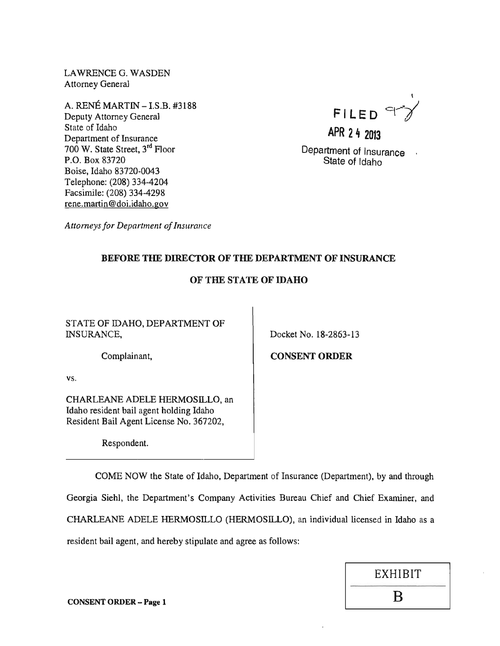LAWRENCE G. WASDEN Attorney General

 $A.$  RENÉ MARTIN  $-$  LS.B.  $\#3188$ A. RENE MARTIN – I.S.B. #3188<br>Deputy Attorney General **FILE D** State of Idaho Department of Insurance 700 W. State Street, 3<sup>rd</sup> Floor P.O. Box 83720 Boise, Idaho 83720-0043 Telephone: (208) 334-4204 Facsimile: (208) 334-4298 rene.martin@doi.idaho.gov



**APR 24 2013** 

Department of Insurance State of Idaho

*Attorneys for Department of Insurance* 

# BEFORE THE DIRECTOR OF THE DEPARTMENT OF INSURANCE

# OF THE STATE OF IDAHO

STATE OF IDAHO, DEPARTMENT OF INSURANCE,

Docket No. 18-2863-13

Complainant,

vs.

CHARLEANE ADELE HERMOSILLO, an Idaho resident bail agent holding Idaho Resident Bail Agent License No. 367202,

Respondent.

CONSENT ORDER

COME NOW the State of Idaho, Department of Insurance (Department), by and through Georgia Siehl, the Department's Company Activities Bureau Chief and Chief Examiner, and CHARLEANE ADELE HERMOSILLO (HERMOSILLO), an individual licensed in Idaho as a resident bail agent, and hereby stipulate and agree as follows:



 $\sum_{n=1}^{\infty}$  CONSENT ORDER – Page 1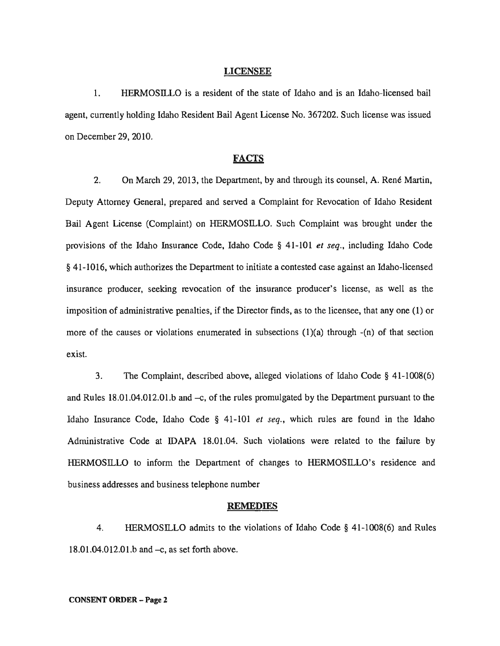#### LICENSEE

1. HERMOSILLO is a resident of the state of Idaho and is an Idaho-licensed bail agent, currently holding Idaho Resident Bail Agent License No. 367202. Such license was issued on December 29,2010.

### **FACTS**

2. On March 29, 2013, the Department, by and through its counsel, A. René Martin, Deputy Attorney General, prepared and served a Complaint for Revocation of Idaho Resident Bail Agent License (Complaint) on HERMOSILLO. Such Complaint was brought under the provisions of the Idaho Insurance Code, Idaho Code § 41-101 *et seq.,* including Idaho Code § 41-1016, which authorizes the Department to initiate a contested case against an Idaho-licensed insurance producer, seeking revocation of the insurance producer's license, as well as the imposition of administrative penalties, if the Director finds, as to the licensee, that anyone (1) or more of the causes or violations enumerated in subsections  $(1)(a)$  through  $-(n)$  of that section exist.

3. The Complaint, described above, alleged violations of Idaho Code § 41-1008(6) and Rules  $18.01.04.012.01$  b and  $-c$ , of the rules promulgated by the Department pursuant to the Idaho Insurance Code, Idaho Code § 41-101 *et seq.,* which rules are found in the Idaho Administrative Code at IDAPA 18.01.04. Such violations were related to the failure by HERMOSILLO to inform the Department of changes to HERMOSILLO's residence and business addresses and business telephone number

#### REMEDIES

4. HERMOSILLO admits to the violations of Idaho Code § 41-1008(6) and Rules  $18.01.04.012.01.b$  and  $-c$ , as set forth above.

#### CONSENT ORDER - Page 2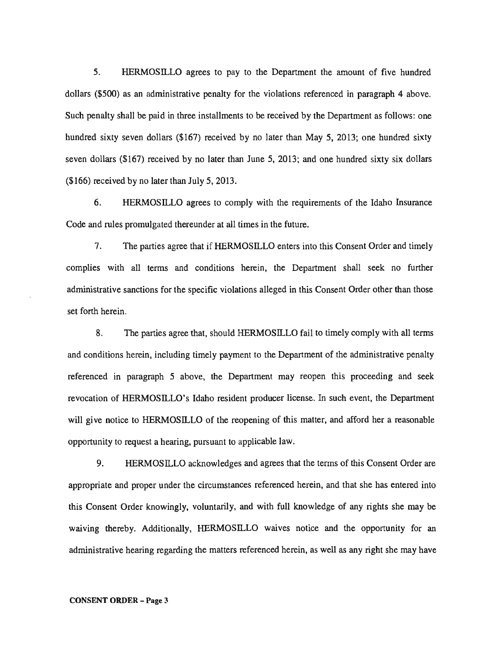5. HERMOSllLO agrees to pay to the Department the amount of five hundred dollars (\$500) as an administrative penalty for the violations referenced in paragraph 4 above. Such penalty shall be paid in three installments to be received by the Department as follows: one hundred sixty seven dollars (\$167) received by no later than May 5, 2013; one hundred sixty seven dollars (\$167) received by no later than June 5, 2013; and one hundred sixty six dollars (\$166) received by no later than July 5, 2013.

6. HERMOSILLO agrees to comply with the requirements of the Idaho Insurance Code and rules promulgated thereunder at all times in the future.

7. The parties agree that if HERMOSILLO enters into this Consent Order and timely complies with all terms and conditions herein, the Department shall seek no further administrative sanctions for the specific violations alleged in this Consent Order other than those set forth herein.

8. The parties agree that, should HERMOSILLO fail to timely comply with all terms and conditions herein, including timely payment to the Department of the administrative penalty referenced in paragraph 5 above, the Department may reopen this proceeding and seek revocation of HERMOSILLO's Idaho resident producer license. In such event, the Department will give notice to HERMOSILLO of the reopening of this matter, and afford her a reasonable opportunity to request a hearing, pursuant to applicable law.

9. HERMOSILLO acknowledges and agrees that the terms of this Consent Order are appropriate and proper under the circumstances referenced herein, and that she has entered into this Consent Order knowingly, voluntarily, and with full knowledge of any rights she may be waiving thereby. Additionally, HERMOSILLO waives notice and the opportunity for an administrative hearing regarding the matters referenced herein, as well as any right she may have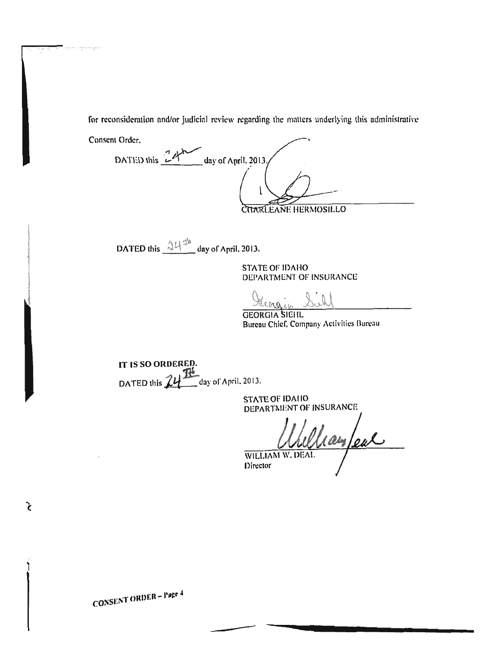for reconsideration and/or judicial review regarding the matters underlying this administrative

Conscnt Ordcr.

 $-125$ 

DATED this  $\frac{1}{2}$   $\sqrt[3]{\phantom{124}}$  day of April. 2013. **CHARLEANE HERMOSILLO** 

 $\cdot$  if  $\alpha$  $\Delta$ ATED this  $\frac{\Delta U^{2n}}{\Delta t}$  day of Arril. 2013

STATE OF IDAHO DEPARTMENT OF INSURANCE

Heorgin Such

Bureau Chief, Company Activities Bureau

IT IS SO ORDERED. DATED this  $24$   $\frac{18}{2}$  day of April. 2013.

STATE OF IDAIIO DEPARTMENT OF INSURANCE

William W. DEAL

Director

-----

 $\ddot{\phantom{a}}$ 

टे